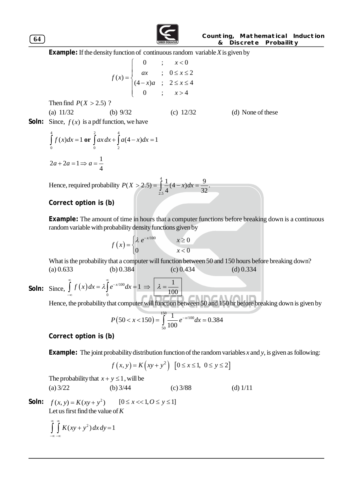**Example:** If the density function of continuous random variable *X* is given by

$$
f(x) = \begin{cases} 0 & ; & x < 0 \\ ax & ; & 0 \le x \le 2 \\ (4-x)a & ; & 2 \le x \le 4 \\ 0 & ; & x > 4 \end{cases}
$$

Then find  $P(X > 2.5)$  ?

**Soln:** Since,  $f(x)$  is a pdf function, we have

$$
\int_{0}^{4} f(x)dx = 1 \text{ or } \int_{0}^{2} ax \, dx + \int_{2}^{4} a(4-x)dx = 1
$$
  
2a + 2a = 1  $\Rightarrow$  a =  $\frac{1}{4}$ 

Hence, required probability 4 2.5  $(X > 2.5) = \int_{0}^{4} \frac{1}{(4 - x)} dx = \frac{9}{22}$ .  $P(X > 2.5) = \int_{2.5}^{1} \frac{1}{4} (4 - x) dx = \frac{3}{32}$ 

## **Correct option is (b)**

**Example:** The amount of time in hours that a computer functions before breaking down is a continuous random variable with probability density functions given by

$$
f(x) = \begin{cases} \lambda e^{-x/100} & x \ge 0 \\ 0 & x < 0 \end{cases}
$$

What is the probability that a computer will function between 50 and 150 hours before breaking down? (a)  $0.633$  (b)  $0.384$  (c)  $0.434$  (d)  $0.334$ 

**Soln:** Since,  $\int f(x) dx = \lambda \int e^{-x/100}$  $\int_{0}^{\infty} f(x) dx = 2 \int_{0}^{\infty} e^{-x} dx$  $\int_{-\infty}^{\infty} f(x) dx = \lambda \int_{0}^{\infty} e^{-x/100} dx = 1 \implies \lambda = -\frac{1}{2}$ 

Hence, the probability that computer will function between 50 and 150 hr before breaking down is given by

$$
P(50 < x < 150) = \int_{50}^{150} \frac{1}{100} e^{-x/100} dx \approx 0.384
$$

100

## **Correct option is (b)**

**Example:** The joint probability distribution function of the random variables *x* and *y*, is given as following:

$$
f(x, y) = K(xy + y^2)
$$
  $[0 \le x \le 1, 0 \le y \le 2]$ 

The probability that  $x + y \le 1$ , will be (a)  $3/22$  (b)  $3/44$  (c)  $3/88$  (d)  $1/11$ 

 $\mathbf{0}$ 

**Soln:**  $f(x, y) = K(xy + y^2)$   $[0 \le x \le 1, 0 \le y \le 1]$ Let us first find the value of *K*

$$
\int_{-\infty}^{\infty} \int_{-\infty}^{\infty} K(xy + y^2) dx dy = 1
$$

(a) 11/32 (b) 9/32 (c) 12/32 (d) None of these

 $\begin{cases} 0 & x < \end{cases}$ 

 $1 \Rightarrow \lambda = \frac{1}{12}$